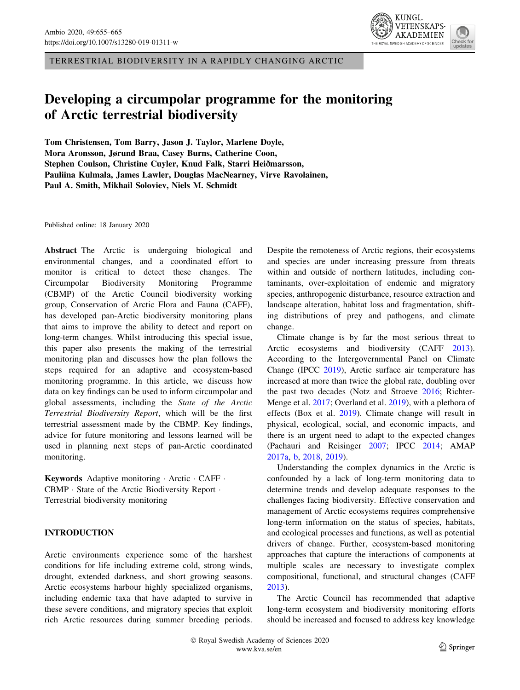TERRESTRIAL BIODIVERSITY IN A RAPIDLY CHANGING ARCTIC

# Developing a circumpolar programme for the monitoring of Arctic terrestrial biodiversity

Tom Christensen, Tom Barry, Jason J. Taylor, Marlene Doyle, Mora Aronsson, Jørund Braa, Casey Burns, Catherine Coon, Stephen Coulson, Christine Cuyler, Knud Falk, Starri Heiðmarsson, Pauliina Kulmala, James Lawler, Douglas MacNearney, Virve Ravolainen, Paul A. Smith, Mikhail Soloviev, Niels M. Schmidt

Published online: 18 January 2020

Abstract The Arctic is undergoing biological and environmental changes, and a coordinated effort to monitor is critical to detect these changes. The Circumpolar Biodiversity Monitoring Programme (CBMP) of the Arctic Council biodiversity working group, Conservation of Arctic Flora and Fauna (CAFF), has developed pan-Arctic biodiversity monitoring plans that aims to improve the ability to detect and report on long-term changes. Whilst introducing this special issue, this paper also presents the making of the terrestrial monitoring plan and discusses how the plan follows the steps required for an adaptive and ecosystem-based monitoring programme. In this article, we discuss how data on key findings can be used to inform circumpolar and global assessments, including the State of the Arctic Terrestrial Biodiversity Report, which will be the first terrestrial assessment made by the CBMP. Key findings, advice for future monitoring and lessons learned will be used in planning next steps of pan-Arctic coordinated monitoring.

Keywords Adaptive monitoring · Arctic · CAFF · CBMP - State of the Arctic Biodiversity Report - Terrestrial biodiversity monitoring

## INTRODUCTION

Arctic environments experience some of the harshest conditions for life including extreme cold, strong winds, drought, extended darkness, and short growing seasons. Arctic ecosystems harbour highly specialized organisms, including endemic taxa that have adapted to survive in these severe conditions, and migratory species that exploit rich Arctic resources during summer breeding periods. Despite the remoteness of Arctic regions, their ecosystems and species are under increasing pressure from threats within and outside of northern latitudes, including contaminants, over-exploitation of endemic and migratory species, anthropogenic disturbance, resource extraction and landscape alteration, habitat loss and fragmentation, shifting distributions of prey and pathogens, and climate change.

Climate change is by far the most serious threat to Arctic ecosystems and biodiversity (CAFF [2013](#page-7-0)). According to the Intergovernmental Panel on Climate Change (IPCC [2019\)](#page-8-0), Arctic surface air temperature has increased at more than twice the global rate, doubling over the past two decades (Notz and Stroeve [2016;](#page-8-0) Richter-Menge et al. [2017](#page-8-0); Overland et al. [2019](#page-8-0)), with a plethora of effects (Box et al. [2019\)](#page-7-0). Climate change will result in physical, ecological, social, and economic impacts, and there is an urgent need to adapt to the expected changes (Pachauri and Reisinger [2007;](#page-8-0) IPCC [2014](#page-8-0); AMAP [2017a,](#page-7-0) [b](#page-7-0), [2018](#page-7-0), [2019\)](#page-7-0).

Understanding the complex dynamics in the Arctic is confounded by a lack of long-term monitoring data to determine trends and develop adequate responses to the challenges facing biodiversity. Effective conservation and management of Arctic ecosystems requires comprehensive long-term information on the status of species, habitats, and ecological processes and functions, as well as potential drivers of change. Further, ecosystem-based monitoring approaches that capture the interactions of components at multiple scales are necessary to investigate complex compositional, functional, and structural changes (CAFF [2013](#page-7-0)).

The Arctic Council has recommended that adaptive long-term ecosystem and biodiversity monitoring efforts should be increased and focused to address key knowledge

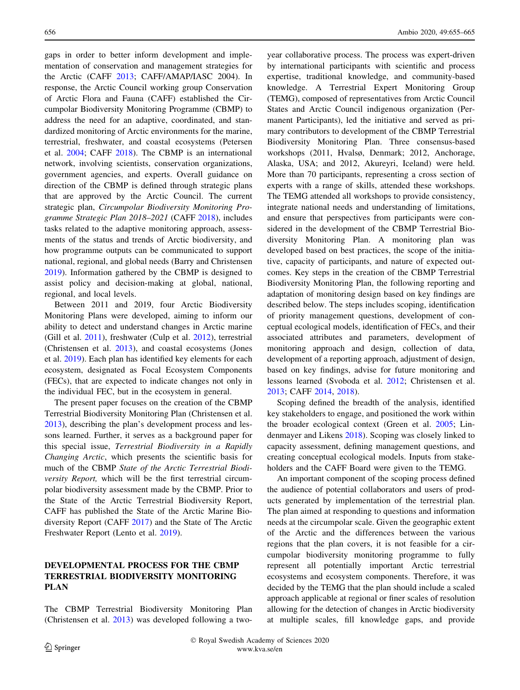gaps in order to better inform development and implementation of conservation and management strategies for the Arctic (CAFF [2013](#page-7-0); CAFF/AMAP/IASC 2004). In response, the Arctic Council working group Conservation of Arctic Flora and Fauna (CAFF) established the Circumpolar Biodiversity Monitoring Programme (CBMP) to address the need for an adaptive, coordinated, and standardized monitoring of Arctic environments for the marine, terrestrial, freshwater, and coastal ecosystems (Petersen et al. [2004](#page-8-0); CAFF [2018](#page-7-0)). The CBMP is an international network, involving scientists, conservation organizations, government agencies, and experts. Overall guidance on direction of the CBMP is defined through strategic plans that are approved by the Arctic Council. The current strategic plan, Circumpolar Biodiversity Monitoring Programme Strategic Plan 2018–2021 (CAFF [2018\)](#page-7-0), includes tasks related to the adaptive monitoring approach, assessments of the status and trends of Arctic biodiversity, and how programme outputs can be communicated to support national, regional, and global needs (Barry and Christensen [2019\)](#page-7-0). Information gathered by the CBMP is designed to assist policy and decision-making at global, national, regional, and local levels.

Between 2011 and 2019, four Arctic Biodiversity Monitoring Plans were developed, aiming to inform our ability to detect and understand changes in Arctic marine (Gill et al. [2011\)](#page-8-0), freshwater (Culp et al. [2012\)](#page-7-0), terrestrial (Christensen et al. [2013](#page-7-0)), and coastal ecosystems (Jones et al. [2019](#page-8-0)). Each plan has identified key elements for each ecosystem, designated as Focal Ecosystem Components (FECs), that are expected to indicate changes not only in the individual FEC, but in the ecosystem in general.

The present paper focuses on the creation of the CBMP Terrestrial Biodiversity Monitoring Plan (Christensen et al. [2013\)](#page-7-0), describing the plan's development process and lessons learned. Further, it serves as a background paper for this special issue, Terrestrial Biodiversity in a Rapidly Changing Arctic, which presents the scientific basis for much of the CBMP State of the Arctic Terrestrial Biodiversity Report, which will be the first terrestrial circumpolar biodiversity assessment made by the CBMP. Prior to the State of the Arctic Terrestrial Biodiversity Report, CAFF has published the State of the Arctic Marine Biodiversity Report (CAFF [2017\)](#page-7-0) and the State of The Arctic Freshwater Report (Lento et al. [2019](#page-8-0)).

# DEVELOPMENTAL PROCESS FOR THE CBMP TERRESTRIAL BIODIVERSITY MONITORING PLAN

The CBMP Terrestrial Biodiversity Monitoring Plan (Christensen et al. [2013](#page-7-0)) was developed following a twoyear collaborative process. The process was expert-driven by international participants with scientific and process expertise, traditional knowledge, and community-based knowledge. A Terrestrial Expert Monitoring Group (TEMG), composed of representatives from Arctic Council States and Arctic Council indigenous organization (Permanent Participants), led the initiative and served as primary contributors to development of the CBMP Terrestrial Biodiversity Monitoring Plan. Three consensus-based workshops (2011, Hvalsø, Denmark; 2012, Anchorage, Alaska, USA; and 2012, Akureyri, Iceland) were held. More than 70 participants, representing a cross section of experts with a range of skills, attended these workshops. The TEMG attended all workshops to provide consistency, integrate national needs and understanding of limitations, and ensure that perspectives from participants were considered in the development of the CBMP Terrestrial Biodiversity Monitoring Plan. A monitoring plan was developed based on best practices, the scope of the initiative, capacity of participants, and nature of expected outcomes. Key steps in the creation of the CBMP Terrestrial Biodiversity Monitoring Plan, the following reporting and adaptation of monitoring design based on key findings are described below. The steps includes scoping, identification of priority management questions, development of conceptual ecological models, identification of FECs, and their associated attributes and parameters, development of monitoring approach and design, collection of data, development of a reporting approach, adjustment of design, based on key findings, advise for future monitoring and lessons learned (Svoboda et al. [2012](#page-8-0); Christensen et al. [2013](#page-7-0); CAFF [2014](#page-7-0), [2018](#page-7-0)).

Scoping defined the breadth of the analysis, identified key stakeholders to engage, and positioned the work within the broader ecological context (Green et al. [2005](#page-8-0); Lindenmayer and Likens [2018](#page-8-0)). Scoping was closely linked to capacity assessment, defining management questions, and creating conceptual ecological models. Inputs from stakeholders and the CAFF Board were given to the TEMG.

An important component of the scoping process defined the audience of potential collaborators and users of products generated by implementation of the terrestrial plan. The plan aimed at responding to questions and information needs at the circumpolar scale. Given the geographic extent of the Arctic and the differences between the various regions that the plan covers, it is not feasible for a circumpolar biodiversity monitoring programme to fully represent all potentially important Arctic terrestrial ecosystems and ecosystem components. Therefore, it was decided by the TEMG that the plan should include a scaled approach applicable at regional or finer scales of resolution allowing for the detection of changes in Arctic biodiversity at multiple scales, fill knowledge gaps, and provide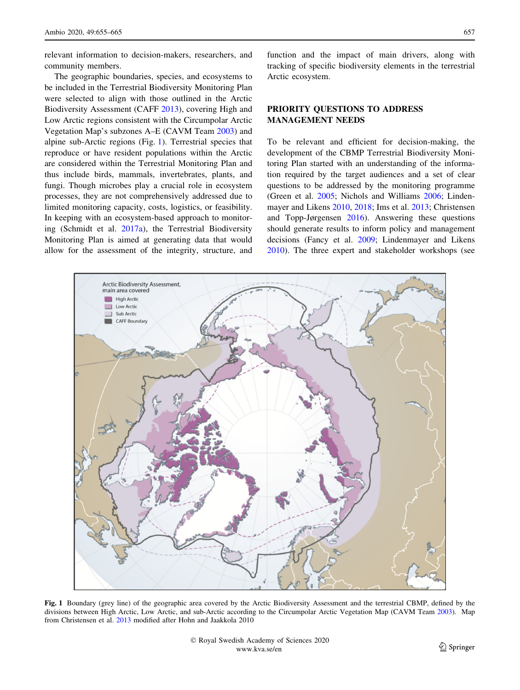relevant information to decision-makers, researchers, and community members.

The geographic boundaries, species, and ecosystems to be included in the Terrestrial Biodiversity Monitoring Plan were selected to align with those outlined in the Arctic Biodiversity Assessment (CAFF [2013\)](#page-7-0), covering High and Low Arctic regions consistent with the Circumpolar Arctic Vegetation Map's subzones A–E (CAVM Team [2003](#page-7-0)) and alpine sub-Arctic regions (Fig. 1). Terrestrial species that reproduce or have resident populations within the Arctic are considered within the Terrestrial Monitoring Plan and thus include birds, mammals, invertebrates, plants, and fungi. Though microbes play a crucial role in ecosystem processes, they are not comprehensively addressed due to limited monitoring capacity, costs, logistics, or feasibility. In keeping with an ecosystem-based approach to monitoring (Schmidt et al. [2017a\)](#page-8-0), the Terrestrial Biodiversity Monitoring Plan is aimed at generating data that would allow for the assessment of the integrity, structure, and function and the impact of main drivers, along with tracking of specific biodiversity elements in the terrestrial Arctic ecosystem.

# PRIORITY QUESTIONS TO ADDRESS MANAGEMENT NEEDS

To be relevant and efficient for decision-making, the development of the CBMP Terrestrial Biodiversity Monitoring Plan started with an understanding of the information required by the target audiences and a set of clear questions to be addressed by the monitoring programme (Green et al. [2005;](#page-8-0) Nichols and Williams [2006;](#page-8-0) Lindenmayer and Likens [2010,](#page-8-0) [2018](#page-8-0); Ims et al. [2013;](#page-8-0) Christensen and Topp-Jørgensen [2016](#page-7-0)). Answering these questions should generate results to inform policy and management decisions (Fancy et al. [2009;](#page-8-0) Lindenmayer and Likens [2010](#page-8-0)). The three expert and stakeholder workshops (see



Fig. 1 Boundary (grey line) of the geographic area covered by the Arctic Biodiversity Assessment and the terrestrial CBMP, defined by the divisions between High Arctic, Low Arctic, and sub-Arctic according to the Circumpolar Arctic Vegetation Map (CAVM Team [2003](#page-7-0)). Map from Christensen et al. [2013](#page-7-0) modified after Hohn and Jaakkola 2010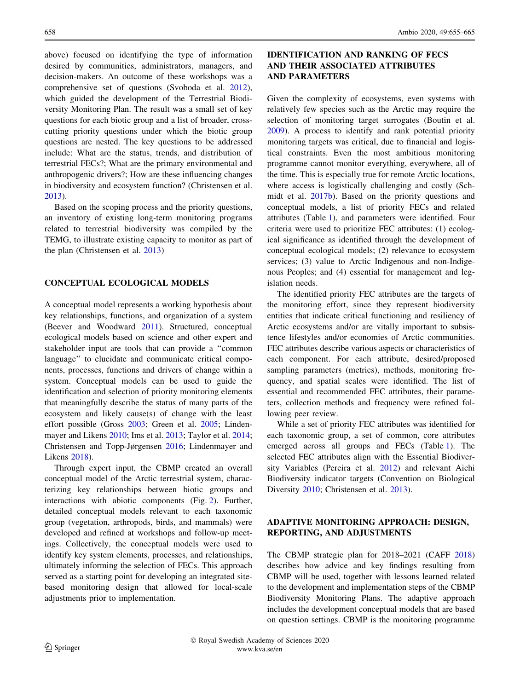above) focused on identifying the type of information desired by communities, administrators, managers, and decision-makers. An outcome of these workshops was a comprehensive set of questions (Svoboda et al. [2012](#page-8-0)), which guided the development of the Terrestrial Biodiversity Monitoring Plan. The result was a small set of key questions for each biotic group and a list of broader, crosscutting priority questions under which the biotic group questions are nested. The key questions to be addressed include: What are the status, trends, and distribution of terrestrial FECs?; What are the primary environmental and anthropogenic drivers?; How are these influencing changes in biodiversity and ecosystem function? (Christensen et al. [2013\)](#page-7-0).

Based on the scoping process and the priority questions, an inventory of existing long-term monitoring programs related to terrestrial biodiversity was compiled by the TEMG, to illustrate existing capacity to monitor as part of the plan (Christensen et al. [2013\)](#page-7-0)

#### CONCEPTUAL ECOLOGICAL MODELS

A conceptual model represents a working hypothesis about key relationships, functions, and organization of a system (Beever and Woodward [2011](#page-7-0)). Structured, conceptual ecological models based on science and other expert and stakeholder input are tools that can provide a ''common language'' to elucidate and communicate critical components, processes, functions and drivers of change within a system. Conceptual models can be used to guide the identification and selection of priority monitoring elements that meaningfully describe the status of many parts of the ecosystem and likely cause(s) of change with the least effort possible (Gross [2003;](#page-8-0) Green et al. [2005;](#page-8-0) Lindenmayer and Likens [2010](#page-8-0); Ims et al. [2013;](#page-8-0) Taylor et al. [2014](#page-8-0); Christensen and Topp-Jørgensen [2016;](#page-7-0) Lindenmayer and Likens [2018\)](#page-8-0).

Through expert input, the CBMP created an overall conceptual model of the Arctic terrestrial system, characterizing key relationships between biotic groups and interactions with abiotic components (Fig. [2\)](#page-4-0). Further, detailed conceptual models relevant to each taxonomic group (vegetation, arthropods, birds, and mammals) were developed and refined at workshops and follow-up meetings. Collectively, the conceptual models were used to identify key system elements, processes, and relationships, ultimately informing the selection of FECs. This approach served as a starting point for developing an integrated sitebased monitoring design that allowed for local-scale adjustments prior to implementation.

# IDENTIFICATION AND RANKING OF FECS AND THEIR ASSOCIATED ATTRIBUTES AND PARAMETERS

Given the complexity of ecosystems, even systems with relatively few species such as the Arctic may require the selection of monitoring target surrogates (Boutin et al. [2009](#page-7-0)). A process to identify and rank potential priority monitoring targets was critical, due to financial and logistical constraints. Even the most ambitious monitoring programme cannot monitor everything, everywhere, all of the time. This is especially true for remote Arctic locations, where access is logistically challenging and costly (Schmidt et al. [2017b\)](#page-8-0). Based on the priority questions and conceptual models, a list of priority FECs and related attributes (Table [1](#page-5-0)), and parameters were identified. Four criteria were used to prioritize FEC attributes: (1) ecological significance as identified through the development of conceptual ecological models; (2) relevance to ecosystem services; (3) value to Arctic Indigenous and non-Indigenous Peoples; and (4) essential for management and legislation needs.

The identified priority FEC attributes are the targets of the monitoring effort, since they represent biodiversity entities that indicate critical functioning and resiliency of Arctic ecosystems and/or are vitally important to subsistence lifestyles and/or economies of Arctic communities. FEC attributes describe various aspects or characteristics of each component. For each attribute, desired/proposed sampling parameters (metrics), methods, monitoring frequency, and spatial scales were identified. The list of essential and recommended FEC attributes, their parameters, collection methods and frequency were refined following peer review.

While a set of priority FEC attributes was identified for each taxonomic group, a set of common, core attributes emerged across all groups and FECs (Table [1\)](#page-5-0). The selected FEC attributes align with the Essential Biodiversity Variables (Pereira et al. [2012](#page-8-0)) and relevant Aichi Biodiversity indicator targets (Convention on Biological Diversity [2010;](#page-7-0) Christensen et al. [2013\)](#page-7-0).

## ADAPTIVE MONITORING APPROACH: DESIGN, REPORTING, AND ADJUSTMENTS

The CBMP strategic plan for 2018–2021 (CAFF [2018\)](#page-7-0) describes how advice and key findings resulting from CBMP will be used, together with lessons learned related to the development and implementation steps of the CBMP Biodiversity Monitoring Plans. The adaptive approach includes the development conceptual models that are based on question settings. CBMP is the monitoring programme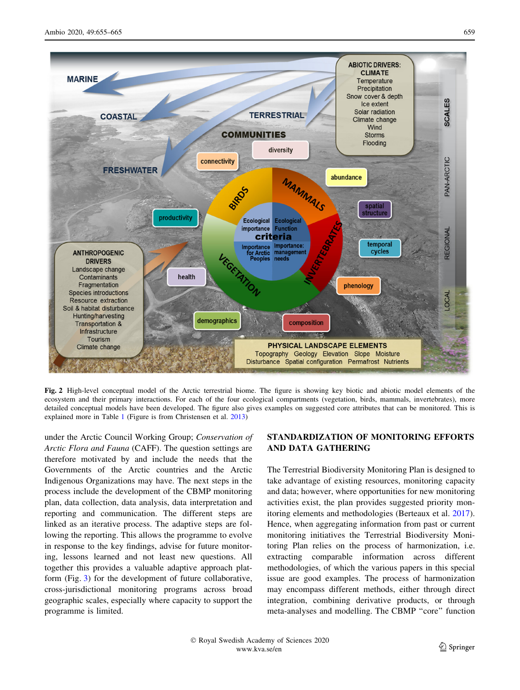<span id="page-4-0"></span>

Fig. 2 High-level conceptual model of the Arctic terrestrial biome. The figure is showing key biotic and abiotic model elements of the ecosystem and their primary interactions. For each of the four ecological compartments (vegetation, birds, mammals, invertebrates), more detailed conceptual models have been developed. The figure also gives examples on suggested core attributes that can be monitored. This is explained more in Table [1](#page-5-0) (Figure is from Christensen et al. [2013](#page-7-0))

under the Arctic Council Working Group; Conservation of Arctic Flora and Fauna (CAFF). The question settings are therefore motivated by and include the needs that the Governments of the Arctic countries and the Arctic Indigenous Organizations may have. The next steps in the process include the development of the CBMP monitoring plan, data collection, data analysis, data interpretation and reporting and communication. The different steps are linked as an iterative process. The adaptive steps are following the reporting. This allows the programme to evolve in response to the key findings, advise for future monitoring, lessons learned and not least new questions. All together this provides a valuable adaptive approach platform (Fig. [3\)](#page-6-0) for the development of future collaborative, cross-jurisdictional monitoring programs across broad geographic scales, especially where capacity to support the programme is limited.

# STANDARDIZATION OF MONITORING EFFORTS AND DATA GATHERING

The Terrestrial Biodiversity Monitoring Plan is designed to take advantage of existing resources, monitoring capacity and data; however, where opportunities for new monitoring activities exist, the plan provides suggested priority monitoring elements and methodologies (Berteaux et al. [2017](#page-7-0)). Hence, when aggregating information from past or current monitoring initiatives the Terrestrial Biodiversity Monitoring Plan relies on the process of harmonization, i.e. extracting comparable information across different methodologies, of which the various papers in this special issue are good examples. The process of harmonization may encompass different methods, either through direct integration, combining derivative products, or through meta-analyses and modelling. The CBMP ''core'' function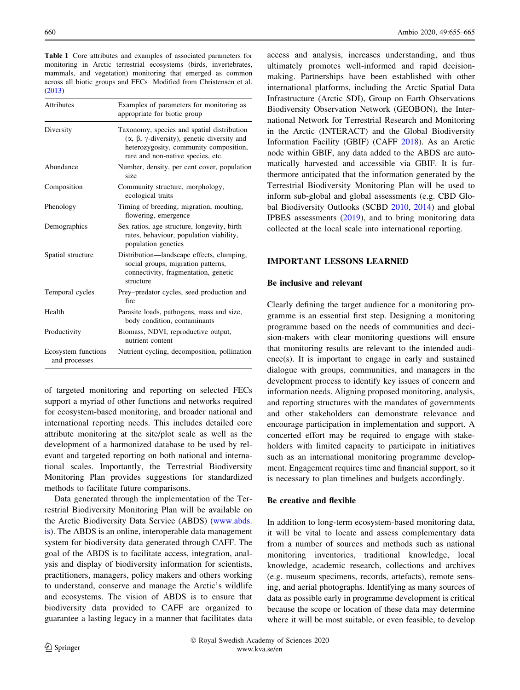<span id="page-5-0"></span>Table 1 Core attributes and examples of associated parameters for monitoring in Arctic terrestrial ecosystems (birds, invertebrates, mammals, and vegetation) monitoring that emerged as common across all biotic groups and FECs Modified from Christensen et al. ([2013\)](#page-7-0)

| <b>Attributes</b>                    | Examples of parameters for monitoring as<br>appropriate for biotic group                                                                                                   |
|--------------------------------------|----------------------------------------------------------------------------------------------------------------------------------------------------------------------------|
| Diversity                            | Taxonomy, species and spatial distribution<br>$(α, β, γ-diversity)$ , genetic diversity and<br>heterozygosity, community composition,<br>rare and non-native species, etc. |
| Abundance                            | Number, density, per cent cover, population<br>size                                                                                                                        |
| Composition                          | Community structure, morphology,<br>ecological traits                                                                                                                      |
| Phenology                            | Timing of breeding, migration, moulting,<br>flowering, emergence                                                                                                           |
| Demographics                         | Sex ratios, age structure, longevity, birth<br>rates, behaviour, population viability,<br>population genetics                                                              |
| Spatial structure                    | Distribution-landscape effects, clumping,<br>social groups, migration patterns,<br>connectivity, fragmentation, genetic<br>structure                                       |
| Temporal cycles                      | Prey-predator cycles, seed production and<br>fire                                                                                                                          |
| Health                               | Parasite loads, pathogens, mass and size,<br>body condition, contaminants                                                                                                  |
| Productivity                         | Biomass, NDVI, reproductive output,<br>nutrient content                                                                                                                    |
| Ecosystem functions<br>and processes | Nutrient cycling, decomposition, pollination                                                                                                                               |

of targeted monitoring and reporting on selected FECs support a myriad of other functions and networks required for ecosystem-based monitoring, and broader national and international reporting needs. This includes detailed core attribute monitoring at the site/plot scale as well as the development of a harmonized database to be used by relevant and targeted reporting on both national and international scales. Importantly, the Terrestrial Biodiversity Monitoring Plan provides suggestions for standardized methods to facilitate future comparisons.

Data generated through the implementation of the Terrestrial Biodiversity Monitoring Plan will be available on the Arctic Biodiversity Data Service (ABDS) [\(www.abds.](http://www.abds.is) [is\)](http://www.abds.is). The ABDS is an online, interoperable data management system for biodiversity data generated through CAFF. The goal of the ABDS is to facilitate access, integration, analysis and display of biodiversity information for scientists, practitioners, managers, policy makers and others working to understand, conserve and manage the Arctic's wildlife and ecosystems. The vision of ABDS is to ensure that biodiversity data provided to CAFF are organized to guarantee a lasting legacy in a manner that facilitates data access and analysis, increases understanding, and thus ultimately promotes well-informed and rapid decisionmaking. Partnerships have been established with other international platforms, including the Arctic Spatial Data Infrastructure (Arctic SDI), Group on Earth Observations Biodiversity Observation Network (GEOBON), the International Network for Terrestrial Research and Monitoring in the Arctic (INTERACT) and the Global Biodiversity Information Facility (GBIF) (CAFF [2018\)](#page-7-0). As an Arctic node within GBIF, any data added to the ABDS are automatically harvested and accessible via GBIF. It is furthermore anticipated that the information generated by the Terrestrial Biodiversity Monitoring Plan will be used to inform sub-global and global assessments (e.g. CBD Global Biodiversity Outlooks (SCBD [2010](#page-8-0), [2014](#page-8-0)) and global IPBES assessments [\(2019](#page-8-0)), and to bring monitoring data collected at the local scale into international reporting.

## IMPORTANT LESSONS LEARNED

#### Be inclusive and relevant

Clearly defining the target audience for a monitoring programme is an essential first step. Designing a monitoring programme based on the needs of communities and decision-makers with clear monitoring questions will ensure that monitoring results are relevant to the intended audience(s). It is important to engage in early and sustained dialogue with groups, communities, and managers in the development process to identify key issues of concern and information needs. Aligning proposed monitoring, analysis, and reporting structures with the mandates of governments and other stakeholders can demonstrate relevance and encourage participation in implementation and support. A concerted effort may be required to engage with stakeholders with limited capacity to participate in initiatives such as an international monitoring programme development. Engagement requires time and financial support, so it is necessary to plan timelines and budgets accordingly.

## Be creative and flexible

In addition to long-term ecosystem-based monitoring data, it will be vital to locate and assess complementary data from a number of sources and methods such as national monitoring inventories, traditional knowledge, local knowledge, academic research, collections and archives (e.g. museum specimens, records, artefacts), remote sensing, and aerial photographs. Identifying as many sources of data as possible early in programme development is critical because the scope or location of these data may determine where it will be most suitable, or even feasible, to develop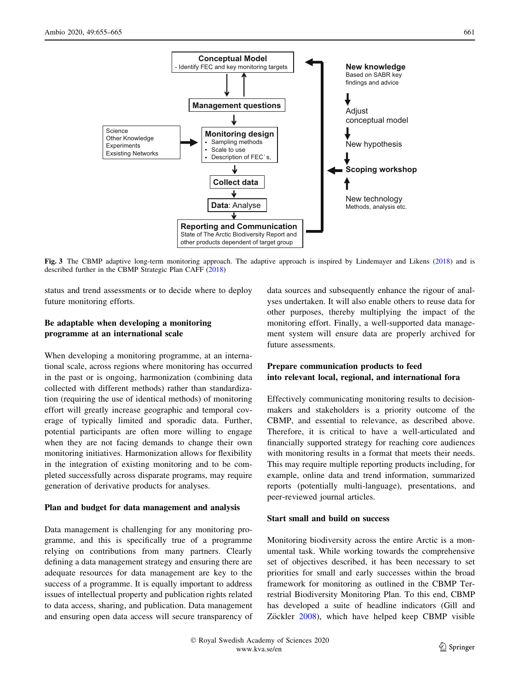<span id="page-6-0"></span>

Fig. 3 The CBMP adaptive long-term monitoring approach. The adaptive approach is inspired by Lindemayer and Likens ([2018\)](#page-8-0) and is described further in the CBMP Strategic Plan CAFF [\(2018\)](#page-7-0)

status and trend assessments or to decide where to deploy future monitoring efforts.

# Be adaptable when developing a monitoring programme at an international scale

When developing a monitoring programme, at an international scale, across regions where monitoring has occurred in the past or is ongoing, harmonization (combining data collected with different methods) rather than standardization (requiring the use of identical methods) of monitoring effort will greatly increase geographic and temporal coverage of typically limited and sporadic data. Further, potential participants are often more willing to engage when they are not facing demands to change their own monitoring initiatives. Harmonization allows for flexibility in the integration of existing monitoring and to be completed successfully across disparate programs, may require generation of derivative products for analyses.

#### Plan and budget for data management and analysis

Data management is challenging for any monitoring programme, and this is specifically true of a programme relying on contributions from many partners. Clearly defining a data management strategy and ensuring there are adequate resources for data management are key to the success of a programme. It is equally important to address issues of intellectual property and publication rights related to data access, sharing, and publication. Data management and ensuring open data access will secure transparency of data sources and subsequently enhance the rigour of analyses undertaken. It will also enable others to reuse data for other purposes, thereby multiplying the impact of the monitoring effort. Finally, a well-supported data management system will ensure data are properly archived for future assessments.

## Prepare communication products to feed into relevant local, regional, and international fora

Effectively communicating monitoring results to decisionmakers and stakeholders is a priority outcome of the CBMP, and essential to relevance, as described above. Therefore, it is critical to have a well-articulated and financially supported strategy for reaching core audiences with monitoring results in a format that meets their needs. This may require multiple reporting products including, for example, online data and trend information, summarized reports (potentially multi-language), presentations, and peer-reviewed journal articles.

## Start small and build on success

Monitoring biodiversity across the entire Arctic is a monumental task. While working towards the comprehensive set of objectives described, it has been necessary to set priorities for small and early successes within the broad framework for monitoring as outlined in the CBMP Terrestrial Biodiversity Monitoring Plan. To this end, CBMP has developed a suite of headline indicators (Gill and Zöckler [2008\)](#page-8-0), which have helped keep CBMP visible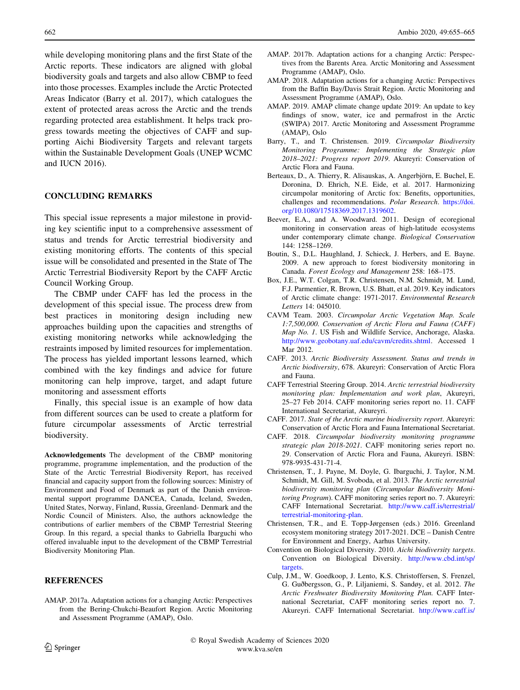<span id="page-7-0"></span>while developing monitoring plans and the first State of the Arctic reports. These indicators are aligned with global biodiversity goals and targets and also allow CBMP to feed into those processes. Examples include the Arctic Protected Areas Indicator (Barry et al. 2017), which catalogues the extent of protected areas across the Arctic and the trends regarding protected area establishment. It helps track progress towards meeting the objectives of CAFF and supporting Aichi Biodiversity Targets and relevant targets within the Sustainable Development Goals (UNEP WCMC and IUCN 2016).

#### CONCLUDING REMARKS

This special issue represents a major milestone in providing key scientific input to a comprehensive assessment of status and trends for Arctic terrestrial biodiversity and existing monitoring efforts. The contents of this special issue will be consolidated and presented in the State of The Arctic Terrestrial Biodiversity Report by the CAFF Arctic Council Working Group.

The CBMP under CAFF has led the process in the development of this special issue. The process drew from best practices in monitoring design including new approaches building upon the capacities and strengths of existing monitoring networks while acknowledging the restraints imposed by limited resources for implementation. The process has yielded important lessons learned, which combined with the key findings and advice for future monitoring can help improve, target, and adapt future monitoring and assessment efforts

Finally, this special issue is an example of how data from different sources can be used to create a platform for future circumpolar assessments of Arctic terrestrial biodiversity.

Acknowledgements The development of the CBMP monitoring programme, programme implementation, and the production of the State of the Arctic Terrestrial Biodiversity Report, has received financial and capacity support from the following sources: Ministry of Environment and Food of Denmark as part of the Danish environmental support programme DANCEA, Canada, Iceland, Sweden, United States, Norway, Finland, Russia, Greenland- Denmark and the Nordic Council of Ministers. Also, the authors acknowledge the contributions of earlier members of the CBMP Terrestrial Steering Group. In this regard, a special thanks to Gabriella Ibarguchi who offered invaluable input to the development of the CBMP Terrestrial Biodiversity Monitoring Plan.

#### **REFERENCES**

AMAP. 2017a. Adaptation actions for a changing Arctic: Perspectives from the Bering-Chukchi-Beaufort Region. Arctic Monitoring and Assessment Programme (AMAP), Oslo.

- AMAP. 2017b. Adaptation actions for a changing Arctic: Perspectives from the Barents Area. Arctic Monitoring and Assessment Programme (AMAP), Oslo.
- AMAP. 2018. Adaptation actions for a changing Arctic: Perspectives from the Baffin Bay/Davis Strait Region. Arctic Monitoring and Assessment Programme (AMAP), Oslo.
- AMAP. 2019. AMAP climate change update 2019: An update to key findings of snow, water, ice and permafrost in the Arctic (SWIPA) 2017. Arctic Monitoring and Assessment Programme (AMAP), Oslo
- Barry, T., and T. Christensen. 2019. Circumpolar Biodiversity Monitoring Programme: Implementing the Strategic plan 2018–2021: Progress report 2019. Akureyri: Conservation of Arctic Flora and Fauna.
- Berteaux, D., A. Thierry, R. Alisauskas, A. Angerbjörn, E. Buchel, E. Doronina, D. Ehrich, N.E. Eide, et al. 2017. Harmonizing circumpolar monitoring of Arctic fox: Benefits, opportunities, challenges and recommendations. Polar Research. [https://doi.](https://doi.org/10.1080/17518369.2017.1319602) [org/10.1080/17518369.2017.1319602](https://doi.org/10.1080/17518369.2017.1319602).
- Beever, E.A., and A. Woodward. 2011. Design of ecoregional monitoring in conservation areas of high-latitude ecosystems under contemporary climate change. Biological Conservation 144: 1258–1269.
- Boutin, S., D.L. Haughland, J. Schieck, J. Herbers, and E. Bayne. 2009. A new approach to forest biodiversity monitoring in Canada. Forest Ecology and Management 258: 168–175.
- Box, J.E., W.T. Colgan, T.R. Christensen, N.M. Schmidt, M. Lund, F.J. Parmentier, R. Brown, U.S. Bhatt, et al. 2019. Key indicators of Arctic climate change: 1971-2017. Environmental Research Letters 14: 045010.
- CAVM Team. 2003. Circumpolar Arctic Vegetation Map. Scale 1:7,500,000. Conservation of Arctic Flora and Fauna (CAFF) Map No. 1. US Fish and Wildlife Service, Anchorage, Alaska. [http://www.geobotany.uaf.edu/cavm/credits.shtml.](http://www.geobotany.uaf.edu/cavm/credits.shtml) Accessed 1 Mar 2012.
- CAFF. 2013. Arctic Biodiversity Assessment. Status and trends in Arctic biodiversity, 678. Akureyri: Conservation of Arctic Flora and Fauna.
- CAFF Terrestrial Steering Group. 2014. Arctic terrestrial biodiversity monitoring plan: Implementation and work plan, Akureyri, 25–27 Feb 2014. CAFF monitoring series report no. 11. CAFF International Secretariat, Akureyri.
- CAFF. 2017. State of the Arctic marine biodiversity report. Akureyri: Conservation of Arctic Flora and Fauna International Secretariat.
- CAFF. 2018. Circumpolar biodiversity monitoring programme strategic plan 2018-2021. CAFF monitoring series report no. 29. Conservation of Arctic Flora and Fauna, Akureyri. ISBN: 978-9935-431-71-4.
- Christensen, T., J. Payne, M. Doyle, G. Ibarguchi, J. Taylor, N.M. Schmidt, M. Gill, M. Svoboda, et al. 2013. The Arctic terrestrial biodiversity monitoring plan (Circumpolar Biodiversity Monitoring Program). CAFF monitoring series report no. 7. Akureyri: CAFF International Secretariat. [http://www.caff.is/terrestrial/](http://www.caff.is/terrestrial/terrestrial-monitoring-plan) [terrestrial-monitoring-plan.](http://www.caff.is/terrestrial/terrestrial-monitoring-plan)
- Christensen, T.R., and E. Topp-Jørgensen (eds.) 2016. Greenland ecosystem monitoring strategy 2017-2021. DCE – Danish Centre for Environment and Energy, Aarhus University.
- Convention on Biological Diversity. 2010. Aichi biodiversity targets. Convention on Biological Diversity. [http://www.cbd.int/sp/](http://www.cbd.int/sp/targets) [targets.](http://www.cbd.int/sp/targets)
- Culp, J.M., W. Goedkoop, J. Lento, K.S. Christoffersen, S. Frenzel, G. Guðbergsson, G., P. Liljaniemi, S. Sandøy, et al. 2012. The Arctic Freshwater Biodiversity Monitoring Plan. CAFF International Secretariat, CAFF monitoring series report no. 7. Akureyri. CAFF International Secretariat. [http://www.caff.is/](http://www.caff.is/freshwater/freshwater-monitoring-publications/196-arctic-freshwater-biodiversity-monitoring-plan)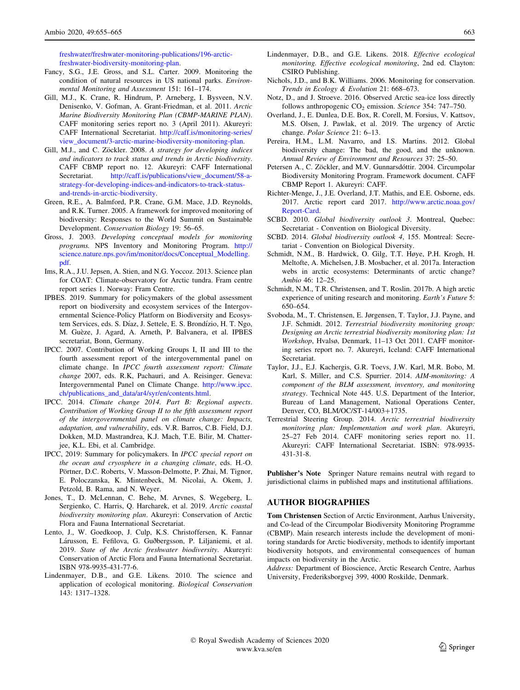<span id="page-8-0"></span>[freshwater/freshwater-monitoring-publications/196-arctic](http://www.caff.is/freshwater/freshwater-monitoring-publications/196-arctic-freshwater-biodiversity-monitoring-plan)[freshwater-biodiversity-monitoring-plan](http://www.caff.is/freshwater/freshwater-monitoring-publications/196-arctic-freshwater-biodiversity-monitoring-plan).

- Fancy, S.G., J.E. Gross, and S.L. Carter. 2009. Monitoring the condition of natural resources in US national parks. Environmental Monitoring and Assessment 151: 161–174.
- Gill, M.J., K. Crane, R. Hindrum, P. Arneberg, I. Bysveen, N.V. Denisenko, V. Gofman, A. Grant-Friedman, et al. 2011. Arctic Marine Biodiversity Monitoring Plan (CBMP-MARINE PLAN). CAFF monitoring series report no. 3 (April 2011). Akureyri: CAFF International Secretariat. [http://caff.is/monitoring-series/](http://caff.is/monitoring-series/view_document/3-arctic-marine-biodiversity-monitoring-plan) [view\\_document/3-arctic-marine-biodiversity-monitoring-plan.](http://caff.is/monitoring-series/view_document/3-arctic-marine-biodiversity-monitoring-plan)
- Gill, M.J., and C. Zöckler. 2008. A strategy for developing indices and indicators to track status and trends in Arctic biodiversity. CAFF CBMP report no. 12. Akureyri: CAFF International Secretariat. [http://caff.is/publications/view\\_document/58-a](http://caff.is/publications/view_document/58-a-strategy-for-developing-indices-and-indicators-to-track-status-and-trends-in-arctic-biodiversity)[strategy-for-developing-indices-and-indicators-to-track-status](http://caff.is/publications/view_document/58-a-strategy-for-developing-indices-and-indicators-to-track-status-and-trends-in-arctic-biodiversity)[and-trends-in-arctic-biodiversity](http://caff.is/publications/view_document/58-a-strategy-for-developing-indices-and-indicators-to-track-status-and-trends-in-arctic-biodiversity).
- Green, R.E., A. Balmford, P.R. Crane, G.M. Mace, J.D. Reynolds, and R.K. Turner. 2005. A framework for improved monitoring of biodiversity: Responses to the World Summit on Sustainable Development. Conservation Biology 19: 56–65.
- Gross, J. 2003. Developing conceptual models for monitoring programs. NPS Inventory and Monitoring Program. [http://](http://science.nature.nps.gov/im/monitor/docs/Conceptual_Modelling.pdf) [science.nature.nps.gov/im/monitor/docs/Conceptual\\_Modelling.](http://science.nature.nps.gov/im/monitor/docs/Conceptual_Modelling.pdf) [pdf](http://science.nature.nps.gov/im/monitor/docs/Conceptual_Modelling.pdf).
- Ims, R.A., J.U. Jepsen, A. Stien, and N.G. Yoccoz. 2013. Science plan for COAT: Climate-observatory for Arctic tundra. Fram centre report series 1. Norway: Fram Centre.
- IPBES. 2019. Summary for policymakers of the global assessment report on biodiversity and ecosystem services of the Intergovernmental Science-Policy Platform on Biodiversity and Ecosystem Services, eds. S. Díaz, J. Settele, E. S. Brondízio, H. T. Ngo, M. Guèze, J. Agard, A. Arneth, P. Balvanera, et al. IPBES secretariat, Bonn, Germany.
- IPCC. 2007. Contribution of Working Groups I, II and III to the fourth assessment report of the intergovernmental panel on climate change. In IPCC fourth assessment report: Climate change 2007, eds. R.K, Pachauri, and A. Reisinger. Geneva: Intergovernmental Panel on Climate Change. [http://www.ipcc.](http://www.ipcc.ch/publications_and_data/ar4/syr/en/contents.html) [ch/publications\\_and\\_data/ar4/syr/en/contents.html.](http://www.ipcc.ch/publications_and_data/ar4/syr/en/contents.html)
- IPCC. 2014. Climate change 2014. Part B: Regional aspects. Contribution of Working Group II to the fifth assessment report of the intergovernmental panel on climate change: Impacts, adaptation, and vulnerability, eds. V.R. Barros, C.B. Field, D.J. Dokken, M.D. Mastrandrea, K.J. Mach, T.E. Bilir, M. Chatterjee, K.L. Ebi, et al. Cambridge.
- IPCC, 2019: Summary for policymakers. In IPCC special report on the ocean and cryosphere in a changing climate, eds. H.-O. Pörtner, D.C. Roberts, V. Masson-Delmotte, P. Zhai, M. Tignor, E. Poloczanska, K. Mintenbeck, M. Nicolai, A. Okem, J. Petzold, B. Rama, and N. Weyer.
- Jones, T., D. McLennan, C. Behe, M. Arvnes, S. Wegeberg, L. Sergienko, C. Harris, Q. Harcharek, et al. 2019. Arctic coastal biodiversity monitoring plan. Akureyri: Conservation of Arctic Flora and Fauna International Secretariat.
- Lento, J., W. Goedkoop, J. Culp, K.S. Christoffersen, K. Fannar Lárusson, E. Fefilova, G. Guðbergsson, P. Liljaniemi, et al. 2019. State of the Arctic freshwater biodiversity. Akureyri: Conservation of Arctic Flora and Fauna International Secretariat. ISBN 978-9935-431-77-6.
- Lindenmayer, D.B., and G.E. Likens. 2010. The science and application of ecological monitoring. Biological Conservation 143: 1317–1328.
- Lindenmayer, D.B., and G.E. Likens. 2018. Effective ecological monitoring. Effective ecological monitoring, 2nd ed. Clayton: CSIRO Publishing.
- Nichols, J.D., and B.K. Williams. 2006. Monitoring for conservation. Trends in Ecology & Evolution 21: 668–673.
- Notz, D., and J. Stroeve. 2016. Observed Arctic sea-ice loss directly follows anthropogenic  $CO<sub>2</sub>$  emission. Science 354: 747–750.
- Overland, J., E. Dunlea, D.E. Box, R. Corell, M. Forsius, V. Kattsov, M.S. Olsen, J. Pawlak, et al. 2019. The urgency of Arctic change. Polar Science 21: 6-13.
- Pereira, H.M., L.M. Navarro, and I.S. Martins. 2012. Global biodiversity change: The bad, the good, and the unknown. Annual Review of Environment and Resources 37: 25–50.
- Petersen A., C. Zöckler, and M.V. Gunnarsdóttir. 2004. Circumpolar Biodiversity Monitoring Program. Framework document. CAFF CBMP Report 1. Akureyri: CAFF.
- Richter-Menge, J., J.E. Overland, J.T. Mathis, and E.E. Osborne, eds. 2017. Arctic report card 2017. [http://www.arctic.noaa.gov/](http://www.arctic.noaa.gov/Report-Card) [Report-Card.](http://www.arctic.noaa.gov/Report-Card)
- SCBD. 2010. Global biodiversity outlook 3. Montreal, Quebec: Secretariat - Convention on Biological Diversity.
- SCBD. 2014. Global biodiversity outlook 4, 155. Montreal: Secretariat - Convention on Biological Diversity.
- Schmidt, N.M., B. Hardwick, O. Gilg, T.T. Høye, P.H. Krogh, H. Meltofte, A. Michelsen, J.B. Mosbacher, et al. 2017a. Interaction webs in arctic ecosystems: Determinants of arctic change? Ambio 46: 12–25.
- Schmidt, N.M., T.R. Christensen, and T. Roslin. 2017b. A high arctic experience of uniting research and monitoring. Earth's Future 5: 650–654.
- Svoboda, M., T. Christensen, E. Jørgensen, T. Taylor, J.J. Payne, and J.F. Schmidt. 2012. Terrestrial biodiversity monitoring group: Designing an Arctic terrestrial biodiversity monitoring plan: 1st Workshop, Hvalsø, Denmark, 11–13 Oct 2011. CAFF monitoring series report no. 7. Akureyri, Iceland: CAFF International Secretariat.
- Taylor, J.J., E.J. Kachergis, G.R. Toevs, J.W. Karl, M.R. Bobo, M. Karl, S. Miller, and C.S. Spurrier. 2014. AIM-monitoring: A component of the BLM assessment, inventory, and monitoring strategy. Technical Note 445. U.S. Department of the Interior, Bureau of Land Management, National Operations Center, Denver, CO, BLM/OC/ST-14/003+1735.
- Terrestrial Steering Group. 2014. Arctic terrestrial biodiversity monitoring plan: Implementation and work plan. Akureyri, 25–27 Feb 2014. CAFF monitoring series report no. 11. Akureyri: CAFF International Secretariat. ISBN: 978-9935- 431-31-8.

Publisher's Note Springer Nature remains neutral with regard to jurisdictional claims in published maps and institutional affiliations.

#### AUTHOR BIOGRAPHIES

Tom Christensen Section of Arctic Environment, Aarhus University, and Co-lead of the Circumpolar Biodiversity Monitoring Programme (CBMP). Main research interests include the development of monitoring standards for Arctic biodiversity, methods to identify important biodiversity hotspots, and environmental consequences of human impacts on biodiversity in the Arctic.

Address: Department of Bioscience, Arctic Research Centre, Aarhus University, Frederiksborgvej 399, 4000 Roskilde, Denmark.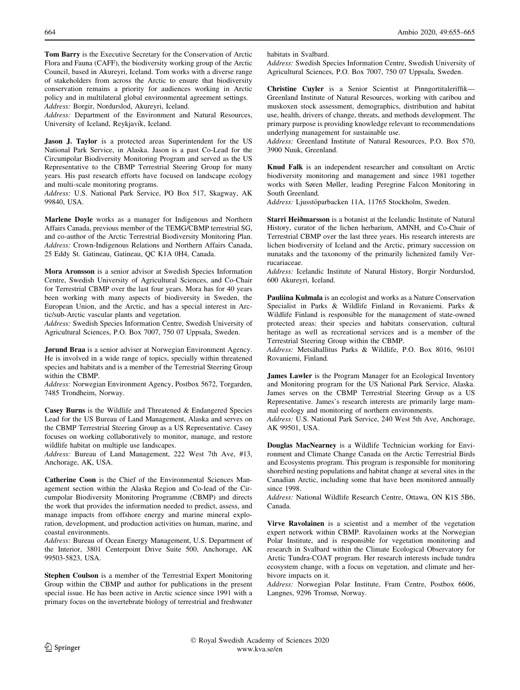Tom Barry is the Executive Secretary for the Conservation of Arctic Flora and Fauna (CAFF), the biodiversity working group of the Arctic Council, based in Akureyri, Iceland. Tom works with a diverse range of stakeholders from across the Arctic to ensure that biodiversity conservation remains a priority for audiences working in Arctic policy and in multilateral global environmental agreement settings. Address: Borgir, Nordurslod, Akureyri, Iceland.

Address: Department of the Environment and Natural Resources, University of Iceland, Reykjavík, Iceland.

Jason J. Taylor is a protected areas Superintendent for the US National Park Service, in Alaska. Jason is a past Co-Lead for the Circumpolar Biodiversity Monitoring Program and served as the US Representative to the CBMP Terrestrial Steering Group for many years. His past research efforts have focused on landscape ecology and multi-scale monitoring programs.

Address: U.S. National Park Service, PO Box 517, Skagway, AK 99840, USA.

Marlene Doyle works as a manager for Indigenous and Northern Affairs Canada, previous member of the TEMG/CBMP terrestrial SG, and co-author of the Arctic Terrestrial Biodiversity Monitoring Plan. Address: Crown-Indigenous Relations and Northern Affairs Canada, 25 Eddy St. Gatineau, Gatineau, QC K1A 0H4, Canada.

Mora Aronsson is a senior advisor at Swedish Species Information Centre, Swedish University of Agricultural Sciences, and Co-Chair for Terrestrial CBMP over the last four years. Mora has for 40 years been working with many aspects of biodiversity in Sweden, the European Union, and the Arctic, and has a special interest in Arctic/sub-Arctic vascular plants and vegetation.

Address: Swedish Species Information Centre, Swedish University of Agricultural Sciences, P.O. Box 7007, 750 07 Uppsala, Sweden.

Jørund Braa is a senior adviser at Norwegian Environment Agency. He is involved in a wide range of topics, specially within threatened species and habitats and is a member of the Terrestrial Steering Group within the CBMP.

Address: Norwegian Environment Agency, Postbox 5672, Torgarden, 7485 Trondheim, Norway.

Casey Burns is the Wildlife and Threatened & Endangered Species Lead for the US Bureau of Land Management, Alaska and serves on the CBMP Terrestrial Steering Group as a US Representative. Casey focuses on working collaboratively to monitor, manage, and restore wildlife habitat on multiple use landscapes.

Address: Bureau of Land Management, 222 West 7th Ave, #13, Anchorage, AK, USA.

Catherine Coon is the Chief of the Environmental Sciences Management section within the Alaska Region and Co-lead of the Circumpolar Biodiversity Monitoring Programme (CBMP) and directs the work that provides the information needed to predict, assess, and manage impacts from offshore energy and marine mineral exploration, development, and production activities on human, marine, and coastal environments.

Address: Bureau of Ocean Energy Management, U.S. Department of the Interior, 3801 Centerpoint Drive Suite 500, Anchorage, AK 99503-5823, USA.

Stephen Coulson is a member of the Terrestrial Expert Monitoring Group within the CBMP and author for publications in the present special issue. He has been active in Arctic science since 1991 with a primary focus on the invertebrate biology of terrestrial and freshwater

habitats in Svalbard.

Address: Swedish Species Information Centre, Swedish University of Agricultural Sciences, P.O. Box 7007, 750 07 Uppsala, Sweden.

Christine Cuyler is a Senior Scientist at Pinngortitaleriffik— Greenland Institute of Natural Resources, working with caribou and muskoxen stock assessment, demographics, distribution and habitat use, health, drivers of change, threats, and methods development. The primary purpose is providing knowledge relevant to recommendations underlying management for sustainable use.

Address: Greenland Institute of Natural Resources, P.O. Box 570, 3900 Nuuk, Greenland.

Knud Falk is an independent researcher and consultant on Arctic biodiversity monitoring and management and since 1981 together works with Søren Møller, leading Peregrine Falcon Monitoring in South Greenland.

Address: Ljusstöparbacken 11A, 11765 Stockholm, Sweden.

Starri Heiðmarsson is a botanist at the Icelandic Institute of Natural History, curator of the lichen herbarium, AMNH, and Co-Chair of Terrestrial CBMP over the last three years. His research interests are lichen biodiversity of Iceland and the Arctic, primary succession on nunataks and the taxonomy of the primarily lichenized family Verrucariaceae.

Address: Icelandic Institute of Natural History, Borgir Nordurslod, 600 Akureyri, Iceland.

Pauliina Kulmala is an ecologist and works as a Nature Conservation Specialist in Parks & Wildlife Finland in Rovaniemi. Parks & Wildlife Finland is responsible for the management of state-owned protected areas: their species and habitats conservation, cultural heritage as well as recreational services and is a member of the Terrestrial Steering Group within the CBMP.

Address: Metsähallitus Parks & Wildlife, P.O. Box 8016, 96101 Rovaniemi, Finland.

James Lawler is the Program Manager for an Ecological Inventory and Monitoring program for the US National Park Service, Alaska. James serves on the CBMP Terrestrial Steering Group as a US Representative. James's research interests are primarily large mammal ecology and monitoring of northern environments.

Address: U.S. National Park Service, 240 West 5th Ave, Anchorage, AK 99501, USA.

Douglas MacNearney is a Wildlife Technician working for Environment and Climate Change Canada on the Arctic Terrestrial Birds and Ecosystems program. This program is responsible for monitoring shorebird nesting populations and habitat change at several sites in the Canadian Arctic, including some that have been monitored annually since 1998.

Address: National Wildlife Research Centre, Ottawa, ON K1S 5B6, Canada.

Virve Ravolainen is a scientist and a member of the vegetation expert network within CBMP. Ravolainen works at the Norwegian Polar Institute, and is responsible for vegetation monitoring and research in Svalbard within the Climate Ecological Observatory for Arctic Tundra-COAT program. Her research interests include tundra ecosystem change, with a focus on vegetation, and climate and herbivore impacts on it.

Address: Norwegian Polar Institute, Fram Centre, Postbox 6606, Langnes, 9296 Tromsø, Norway.